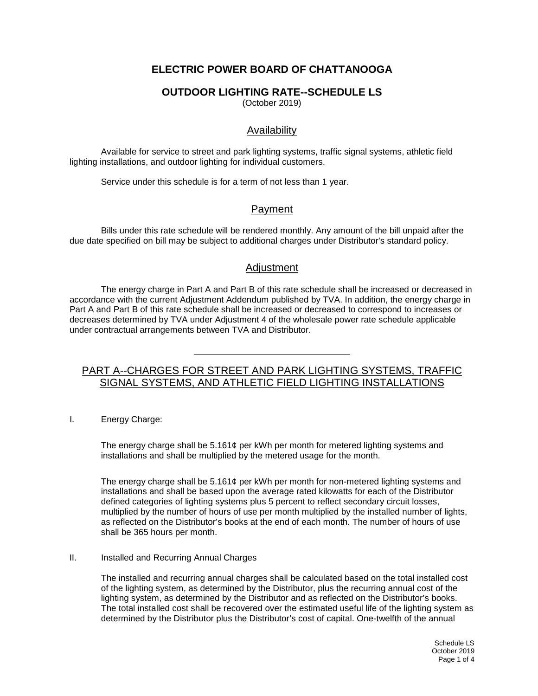# **ELECTRIC POWER BOARD OF CHATTANOOGA**

### **OUTDOOR LIGHTING RATE--SCHEDULE LS**

(October 2019)

### Availability

Available for service to street and park lighting systems, traffic signal systems, athletic field lighting installations, and outdoor lighting for individual customers.

Service under this schedule is for a term of not less than 1 year.

#### Payment

Bills under this rate schedule will be rendered monthly. Any amount of the bill unpaid after the due date specified on bill may be subject to additional charges under Distributor's standard policy.

#### Adjustment

The energy charge in Part A and Part B of this rate schedule shall be increased or decreased in accordance with the current Adjustment Addendum published by TVA. In addition, the energy charge in Part A and Part B of this rate schedule shall be increased or decreased to correspond to increases or decreases determined by TVA under Adjustment 4 of the wholesale power rate schedule applicable under contractual arrangements between TVA and Distributor.

### PART A--CHARGES FOR STREET AND PARK LIGHTING SYSTEMS, TRAFFIC SIGNAL SYSTEMS, AND ATHLETIC FIELD LIGHTING INSTALLATIONS

I. Energy Charge:

The energy charge shall be 5.161¢ per kWh per month for metered lighting systems and installations and shall be multiplied by the metered usage for the month.

The energy charge shall be 5.161¢ per kWh per month for non-metered lighting systems and installations and shall be based upon the average rated kilowatts for each of the Distributor defined categories of lighting systems plus 5 percent to reflect secondary circuit losses, multiplied by the number of hours of use per month multiplied by the installed number of lights, as reflected on the Distributor's books at the end of each month. The number of hours of use shall be 365 hours per month.

#### II. Installed and Recurring Annual Charges

The installed and recurring annual charges shall be calculated based on the total installed cost of the lighting system, as determined by the Distributor, plus the recurring annual cost of the lighting system, as determined by the Distributor and as reflected on the Distributor's books. The total installed cost shall be recovered over the estimated useful life of the lighting system as determined by the Distributor plus the Distributor's cost of capital. One-twelfth of the annual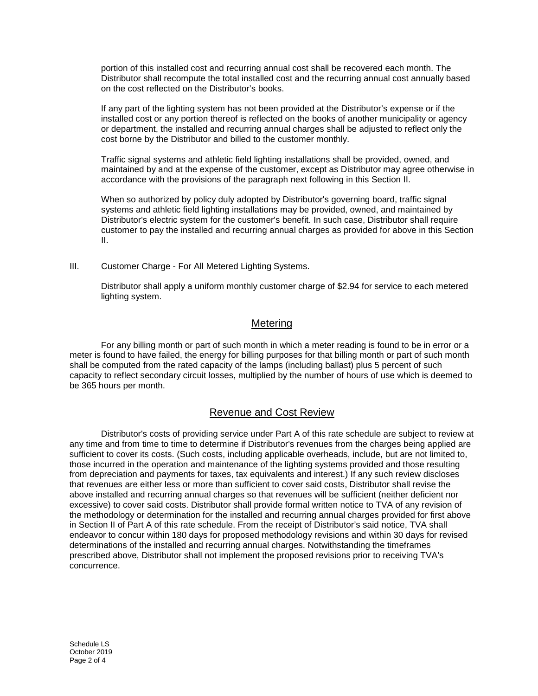portion of this installed cost and recurring annual cost shall be recovered each month. The Distributor shall recompute the total installed cost and the recurring annual cost annually based on the cost reflected on the Distributor's books.

If any part of the lighting system has not been provided at the Distributor's expense or if the installed cost or any portion thereof is reflected on the books of another municipality or agency or department, the installed and recurring annual charges shall be adjusted to reflect only the cost borne by the Distributor and billed to the customer monthly.

Traffic signal systems and athletic field lighting installations shall be provided, owned, and maintained by and at the expense of the customer, except as Distributor may agree otherwise in accordance with the provisions of the paragraph next following in this Section II.

When so authorized by policy duly adopted by Distributor's governing board, traffic signal systems and athletic field lighting installations may be provided, owned, and maintained by Distributor's electric system for the customer's benefit. In such case, Distributor shall require customer to pay the installed and recurring annual charges as provided for above in this Section II.

III. Customer Charge - For All Metered Lighting Systems.

Distributor shall apply a uniform monthly customer charge of \$2.94 for service to each metered lighting system.

#### **Metering**

For any billing month or part of such month in which a meter reading is found to be in error or a meter is found to have failed, the energy for billing purposes for that billing month or part of such month shall be computed from the rated capacity of the lamps (including ballast) plus 5 percent of such capacity to reflect secondary circuit losses, multiplied by the number of hours of use which is deemed to be 365 hours per month.

### Revenue and Cost Review

Distributor's costs of providing service under Part A of this rate schedule are subject to review at any time and from time to time to determine if Distributor's revenues from the charges being applied are sufficient to cover its costs. (Such costs, including applicable overheads, include, but are not limited to, those incurred in the operation and maintenance of the lighting systems provided and those resulting from depreciation and payments for taxes, tax equivalents and interest.) If any such review discloses that revenues are either less or more than sufficient to cover said costs, Distributor shall revise the above installed and recurring annual charges so that revenues will be sufficient (neither deficient nor excessive) to cover said costs. Distributor shall provide formal written notice to TVA of any revision of the methodology or determination for the installed and recurring annual charges provided for first above in Section II of Part A of this rate schedule. From the receipt of Distributor's said notice, TVA shall endeavor to concur within 180 days for proposed methodology revisions and within 30 days for revised determinations of the installed and recurring annual charges. Notwithstanding the timeframes prescribed above, Distributor shall not implement the proposed revisions prior to receiving TVA's concurrence.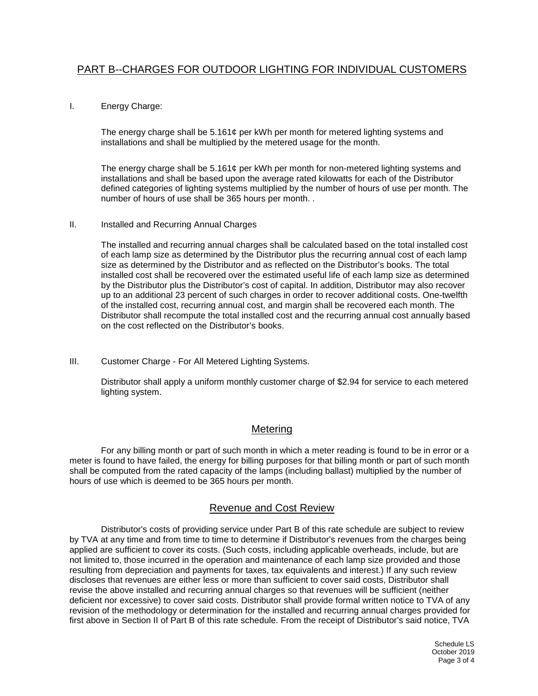#### I. Energy Charge:

The energy charge shall be 5.161¢ per kWh per month for metered lighting systems and installations and shall be multiplied by the metered usage for the month.

The energy charge shall be 5.161¢ per kWh per month for non-metered lighting systems and installations and shall be based upon the average rated kilowatts for each of the Distributor defined categories of lighting systems multiplied by the number of hours of use per month. The number of hours of use shall be 365 hours per month. .

#### II. Installed and Recurring Annual Charges

The installed and recurring annual charges shall be calculated based on the total installed cost of each lamp size as determined by the Distributor plus the recurring annual cost of each lamp size as determined by the Distributor and as reflected on the Distributor's books. The total installed cost shall be recovered over the estimated useful life of each lamp size as determined by the Distributor plus the Distributor's cost of capital. In addition, Distributor may also recover up to an additional 23 percent of such charges in order to recover additional costs. One-twelfth of the installed cost, recurring annual cost, and margin shall be recovered each month. The Distributor shall recompute the total installed cost and the recurring annual cost annually based on the cost reflected on the Distributor's books.

III. Customer Charge - For All Metered Lighting Systems.

Distributor shall apply a uniform monthly customer charge of \$2.94 for service to each metered lighting system.

### Metering

For any billing month or part of such month in which a meter reading is found to be in error or a meter is found to have failed, the energy for billing purposes for that billing month or part of such month shall be computed from the rated capacity of the lamps (including ballast) multiplied by the number of hours of use which is deemed to be 365 hours per month.

### Revenue and Cost Review

Distributor's costs of providing service under Part B of this rate schedule are subject to review by TVA at any time and from time to time to determine if Distributor's revenues from the charges being applied are sufficient to cover its costs. (Such costs, including applicable overheads, include, but are not limited to, those incurred in the operation and maintenance of each lamp size provided and those resulting from depreciation and payments for taxes, tax equivalents and interest.) If any such review discloses that revenues are either less or more than sufficient to cover said costs, Distributor shall revise the above installed and recurring annual charges so that revenues will be sufficient (neither deficient nor excessive) to cover said costs. Distributor shall provide formal written notice to TVA of any revision of the methodology or determination for the installed and recurring annual charges provided for first above in Section II of Part B of this rate schedule. From the receipt of Distributor's said notice, TVA